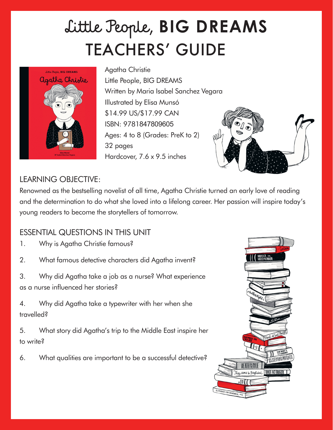# TEACHERS' GUIDE Little People, **BIG DREAMS**



Agatha Christie Little People, BIG DREAMS Written by Maria Isabel Sanchez Vegara Illustrated by Elisa Munsó \$14.99 US/\$17.99 CAN ISBN: 9781847809605 Ages: 4 to 8 (Grades: PreK to 2) 32 pages Hardcover, 7.6 x 9.5 inches



#### LEARNING OBJECTIVE:

Renowned as the bestselling novelist of all time, Agatha Christie turned an early love of reading and the determination to do what she loved into a lifelong career. Her passion will inspire today's young readers to become the storytellers of tomorrow.

## ESSENTIAL QUESTIONS IN THIS UNIT

- 1. Why is Agatha Christie famous?
- 2. What famous detective characters did Agatha invent?
- 3. Why did Agatha take a job as a nurse? What experience as a nurse influenced her stories?

4. Why did Agatha take a typewriter with her when she travelled?

5. What story did Agatha's trip to the Middle East inspire her to write?

6. What qualities are important to be a successful detective?